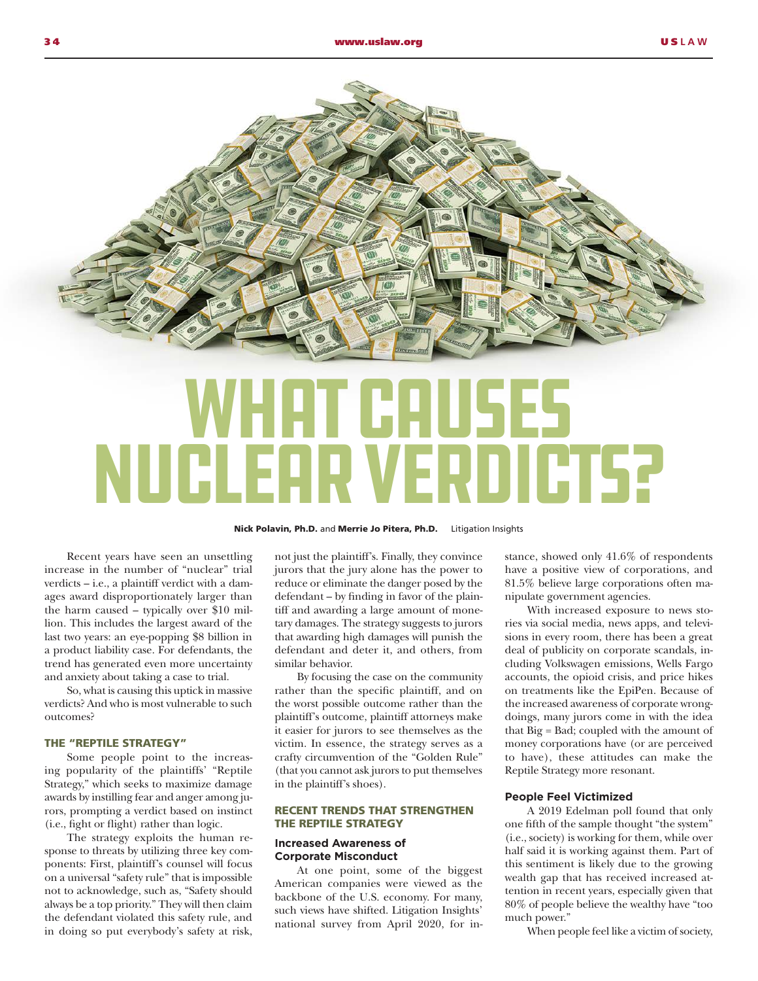

# WHAT CAUSES Nuclear Verdicts?

#### Nick Polavin, Ph.D. and Merrie Jo Pitera, Ph.D. Litigation Insights

Recent years have seen an unsettling increase in the number of "nuclear" trial verdicts – i.e., a plaintiff verdict with a damages award disproportionately larger than the harm caused – typically over \$10 million. This includes the largest award of the last two years: an eye-popping \$8 billion in a product liability case. For defendants, the trend has generated even more uncertainty and anxiety about taking a case to trial.

So, what is causing this uptick in massive verdicts? And who is most vulnerable to such outcomes?

## THE "REPTILE STRATEGY"

Some people point to the increasing popularity of the plaintiffs' "Reptile Strategy," which seeks to maximize damage awards by instilling fear and anger among jurors, prompting a verdict based on instinct (i.e., fight or flight) rather than logic.

The strategy exploits the human response to threats by utilizing three key components: First, plaintiff's counsel will focus on a universal "safety rule" that is impossible not to acknowledge, such as, "Safety should always be a top priority." They will then claim the defendant violated this safety rule, and in doing so put everybody's safety at risk,

not just the plaintiff's. Finally, they convince jurors that the jury alone has the power to reduce or eliminate the danger posed by the defendant – by finding in favor of the plaintiff and awarding a large amount of monetary damages. The strategy suggests to jurors that awarding high damages will punish the defendant and deter it, and others, from similar behavior.

By focusing the case on the community rather than the specific plaintiff, and on the worst possible outcome rather than the plaintiff's outcome, plaintiff attorneys make it easier for jurors to see themselves as the victim. In essence, the strategy serves as a crafty circumvention of the "Golden Rule" (that you cannot ask jurors to put themselves in the plaintiff's shoes).

#### RECENT TRENDS THAT STRENGTHEN THE REPTILE STRATEGY

#### **Increased Awareness of Corporate Misconduct**

At one point, some of the biggest American companies were viewed as the backbone of the U.S. economy. For many, such views have shifted. Litigation Insights' national survey from April 2020, for instance, showed only 41.6% of respondents have a positive view of corporations, and 81.5% believe large corporations often manipulate government agencies.

With increased exposure to news stories via social media, news apps, and televisions in every room, there has been a great deal of publicity on corporate scandals, including Volkswagen emissions, Wells Fargo accounts, the opioid crisis, and price hikes on treatments like the EpiPen. Because of the increased awareness of corporate wrongdoings, many jurors come in with the idea that Big = Bad; coupled with the amount of money corporations have (or are perceived to have), these attitudes can make the Reptile Strategy more resonant.

#### **People Feel Victimized**

A 2019 Edelman poll found that only one fifth of the sample thought "the system" (i.e., society) is working for them, while over half said it is working against them. Part of this sentiment is likely due to the growing wealth gap that has received increased attention in recent years, especially given that 80% of people believe the wealthy have "too much power."

When people feel like a victim of society,